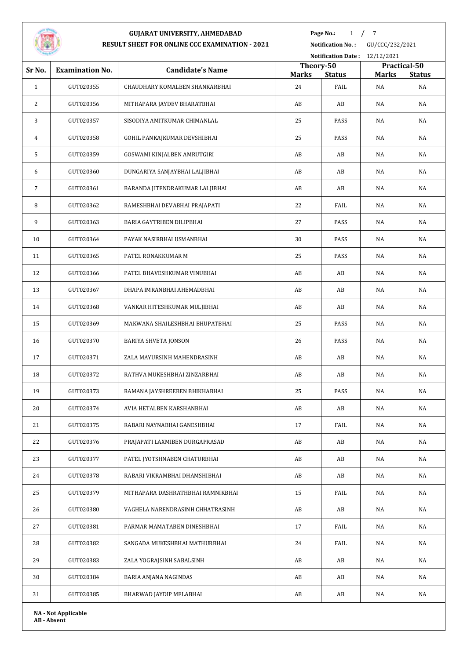

**Page No.:** 1 / 7

**Notification No. :** GU/CCC/232/2021

| <b>STATISTICS</b> |                            |                                   |                    | Notification Date: 12/12/2021 |                    |                     |
|-------------------|----------------------------|-----------------------------------|--------------------|-------------------------------|--------------------|---------------------|
| Sr No.            | <b>Examination No.</b>     | <b>Candidate's Name</b>           | Theory-50          |                               |                    | Practical-50        |
| $\mathbf{1}$      | GUT020355                  | CHAUDHARY KOMALBEN SHANKARBHAI    | <b>Marks</b><br>24 | <b>Status</b><br>FAIL         | <b>Marks</b><br>NA | <b>Status</b><br>NA |
| 2                 | GUT020356                  | MITHAPARA JAYDEV BHARATBHAI       | AB                 | AB                            | NA                 | NA                  |
| 3                 | GUT020357                  | SISODIYA AMITKUMAR CHIMANLAL      | 25                 | PASS                          | NA                 | NA                  |
| 4                 | GUT020358                  | GOHIL PANKAJKUMAR DEVSHIBHAI      | 25                 | PASS                          | NA                 | NA                  |
|                   |                            |                                   |                    |                               |                    |                     |
| 5                 | GUT020359                  | GOSWAMI KINJALBEN AMRUTGIRI       | AB                 | AB                            | NA                 | NA                  |
| 6                 | GUT020360                  | DUNGARIYA SANJAYBHAI LALJIBHAI    | AB                 | AB                            | NA                 | NA                  |
| $\overline{7}$    | GUT020361                  | BARANDA JITENDRAKUMAR LALJIBHAI   | AB                 | AB                            | NA                 | NA                  |
| 8                 | GUT020362                  | RAMESHBHAI DEVABHAI PRAJAPATI     | 22                 | FAIL                          | NA                 | NA                  |
| 9                 | GUT020363                  | BARIA GAYTRIBEN DILIPBHAI         | 27                 | PASS                          | <b>NA</b>          | NA                  |
| 10                | GUT020364                  | PAYAK NASIRBHAI USMANBHAI         | 30                 | PASS                          | NA                 | NA                  |
| 11                | GUT020365                  | PATEL RONAKKUMAR M                | 25                 | PASS                          | NA                 | NA                  |
| 12                | GUT020366                  | PATEL BHAVESHKUMAR VINUBHAI       | AB                 | AB                            | NA                 | NA                  |
| 13                | GUT020367                  | DHAPA IMRANBHAI AHEMADBHAI        | AB                 | AB                            | NA                 | NA                  |
| 14                | GUT020368                  | VANKAR HITESHKUMAR MULJIBHAI      | AB                 | AB                            | NA                 | NA                  |
| 15                | GUT020369                  | MAKWANA SHAILESHBHAI BHUPATBHAI   | 25                 | PASS                          | NA                 | NA                  |
| 16                | GUT020370                  | <b>BARIYA SHVETA JONSON</b>       | 26                 | PASS                          | NA                 | NA                  |
| 17                | GUT020371                  | ZALA MAYURSINH MAHENDRASINH       | AB                 | AB                            | NA                 | NA                  |
| 18                | GUT020372                  | RATHVA MUKESHBHAI ZINZARBHAI      | AB                 | AB                            | NA                 | NA                  |
| 19                | GUT020373                  | RAMANA JAYSHREEBEN BHIKHABHAI     | 25                 | PASS                          | NA                 | NA                  |
| $20\,$            | GUT020374                  | AVIA HETALBEN KARSHANBHAI         | AB                 | AB                            | NA                 | NA                  |
| 21                | GUT020375                  | RABARI NAYNABHAI GANESHBHAI       | 17                 | FAIL                          | NA                 | NA                  |
| 22                | GUT020376                  | PRAJAPATI LAXMIBEN DURGAPRASAD    | AB                 | AB                            | NA                 | NA                  |
| 23                | GUT020377                  | PATEL JYOTSHNABEN CHATURBHAI      | AB                 | AB                            | NA                 | NA                  |
| 24                | GUT020378                  | RABARI VIKRAMBHAI DHAMSHIBHAI     | AB                 | AB                            | NA                 | NA                  |
| 25                | GUT020379                  | MITHAPARA DASHRATHBHAI RAMNIKBHAI | 15                 | FAIL                          | NA                 | NA                  |
| 26                | GUT020380                  | VAGHELA NARENDRASINH CHHATRASINH  | AB                 | AB                            | NA                 | NA                  |
| 27                | GUT020381                  | PARMAR MAMATABEN DINESHBHAI       | 17                 | FAIL                          | NA                 | NA                  |
| 28                | GUT020382                  | SANGADA MUKESHBHAI MATHURBHAI     | 24                 | FAIL                          | NA                 | NA                  |
| 29                | GUT020383                  | ZALA YOGRAJSINH SABALSINH         | AB                 | AB                            | NA                 | NA                  |
| 30                | GUT020384                  | BARIA ANJANA NAGINDAS             | AB                 | AB                            | NA                 | NA                  |
|                   |                            |                                   |                    |                               |                    |                     |
| 31                | GUT020385                  | BHARWAD JAYDIP MELABHAI           | AB                 | AB                            | NA                 | NA                  |
|                   | <b>NA - Not Applicable</b> |                                   |                    |                               |                    |                     |

**AB - Absent**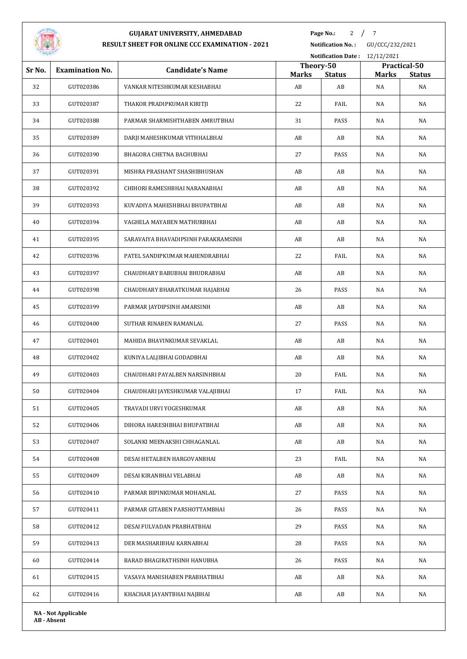

**Page No.:** / 7

**Notification No. :** GU/CCC/232/2021

|                            | Notification Date: 12/12/2021 |                                     |                    |                     |                    |                     |  |
|----------------------------|-------------------------------|-------------------------------------|--------------------|---------------------|--------------------|---------------------|--|
| Sr No.                     | <b>Examination No.</b>        | <b>Candidate's Name</b>             | Theory-50          |                     |                    | Practical-50        |  |
| 32                         | GUT020386                     | VANKAR NITESHKUMAR KESHABHAI        | <b>Marks</b><br>AB | <b>Status</b><br>AB | <b>Marks</b><br>NA | <b>Status</b><br>NA |  |
| 33                         | GUT020387                     | THAKOR PRADIPKUMAR KIRITJI          | 22                 | FAIL                | NA                 | NA                  |  |
| 34                         | GUT020388                     | PARMAR SHARMISHTHABEN AMRUTBHAI     | 31                 | PASS                | NA                 | NA                  |  |
| 35                         | GUT020389                     | DARJI MAHESHKUMAR VITHHALBHAI       | AB                 | AB                  | NA                 | NA                  |  |
| 36                         | GUT020390                     | BHAGORA CHETNA BACHUBHAI            | 27                 | PASS                | NA                 | NA                  |  |
|                            |                               |                                     |                    |                     |                    |                     |  |
| 37                         | GUT020391                     | MISHRA PRASHANT SHASHIBHUSHAN       | AB                 | AB                  | NA                 | NA                  |  |
| 38                         | GUT020392                     | CHIHORI RAMESHBHAI NARANABHAI       | AB                 | AB                  | NA                 | NA                  |  |
| 39                         | GUT020393                     | KUVADIYA MAHESHBHAI BHUPATBHAI      | AB                 | AB                  | NA                 | NA                  |  |
| 40                         | GUT020394                     | VAGHELA MAYABEN MATHURBHAI          | AB                 | AB                  | NA                 | NA                  |  |
| 41                         | GUT020395                     | SARAVAIYA BHAVADIPSINH PARAKRAMSINH | AB                 | AB                  | NA                 | NA                  |  |
| 42                         | GUT020396                     | PATEL SANDIPKUMAR MAHENDRABHAI      | 22                 | FAIL                | NA                 | NA                  |  |
| 43                         | GUT020397                     | CHAUDHARY BABUBHAI BHUDRABHAI       | AB                 | AB                  | NA                 | NA                  |  |
| 44                         | GUT020398                     | CHAUDHARY BHARATKUMAR HAJABHAI      | 26                 | PASS                | NA                 | NA                  |  |
| 45                         | GUT020399                     | PARMAR JAYDIPSINH AMARSINH          | AB                 | AB                  | NA                 | NA                  |  |
| 46                         | GUT020400                     | SUTHAR RINABEN RAMANLAL             | 27                 | PASS                | NA                 | NA                  |  |
| 47                         | GUT020401                     | MAHIDA BHAVINKUMAR SEVAKLAL         | AB                 | AB                  | NA                 | NA                  |  |
| 48                         | GUT020402                     | KUNIYA LALJIBHAI GODADBHAI          | AB                 | AB                  | NA                 | NA                  |  |
| 49                         | GUT020403                     | CHAUDHARI PAYALBEN NARSINHBHAI      | 20                 | FAIL                | NA                 | NA                  |  |
| 50                         | GUT020404                     | CHAUDHARI JAYESHKUMAR VALAJIBHAI    | 17                 | FAIL                | NA                 | NA                  |  |
| 51                         | GUT020405                     | TRAVADI URVI YOGESHKUMAR            | AB                 | AB                  | NA                 | NA                  |  |
| 52                         | GUT020406                     | DIHORA HARESHBHAI BHUPATBHAI        | AB                 | AB                  | NA                 | NA                  |  |
| 53                         | GUT020407                     | SOLANKI MEENAKSHI CHHAGANLAL        | AB                 | AB                  | NA                 | NA                  |  |
| 54                         | GUT020408                     | DESAI HETALBEN HARGOVANBHAI         | 23                 | FAIL                | NA                 | NA                  |  |
| 55                         | GUT020409                     | DESAI KIRANBHAI VELABHAI            | AB                 | AB                  | NA                 | NA                  |  |
| 56                         | GUT020410                     | PARMAR BIPINKUMAR MOHANLAL          | 27                 | PASS                | NA                 | NA                  |  |
| 57                         | GUT020411                     | PARMAR GITABEN PARSHOTTAMBHAI       | 26                 | PASS                | NA                 | NA                  |  |
| 58                         | GUT020412                     | DESAI FULVADAN PRABHATBHAI          | 29                 | PASS                | NA                 | NA                  |  |
| 59                         | GUT020413                     | DER MASHARIBHAI KARNABHAI           | 28                 | PASS                | NA                 | NA                  |  |
| 60                         | GUT020414                     | BARAD BHAGIRATHSINH HANUBHA         | 26                 | PASS                | NA                 | NA                  |  |
| 61                         | GUT020415                     | VASAVA MANISHABEN PRABHATBHAI       | AB                 | AB                  | NA                 | NA                  |  |
| 62                         | GUT020416                     | KHACHAR JAYANTBHAI NAJBHAI          | AB                 | AB                  | NA                 | NA                  |  |
| <b>NA - Not Applicable</b> |                               |                                     |                    |                     |                    |                     |  |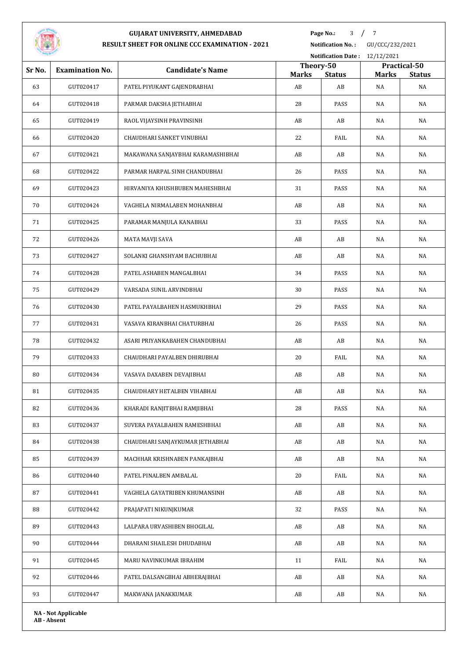

**Page No.:** / 7

**Notification No. :** GU/CCC/232/2021

|        |                            |                                   |                    | Notification Date: 12/12/2021 |                    |                     |  |
|--------|----------------------------|-----------------------------------|--------------------|-------------------------------|--------------------|---------------------|--|
| Sr No. | <b>Examination No.</b>     | <b>Candidate's Name</b>           |                    | Theory-50                     |                    | Practical-50        |  |
| 63     | GUT020417                  | PATEL PIYUKANT GAJENDRABHAI       | <b>Marks</b><br>AB | <b>Status</b><br>AB           | <b>Marks</b><br>NA | <b>Status</b><br>NA |  |
| 64     | GUT020418                  | PARMAR DAKSHA JETHABHAI           | 28                 | PASS                          | NA                 | NA                  |  |
| 65     | GUT020419                  | RAOL VIJAYSINH PRAVINSINH         | AB                 | AB                            | NA                 | NA                  |  |
| 66     | GUT020420                  | CHAUDHARI SANKET VINUBHAI         | 22                 | FAIL                          | NA                 | NA                  |  |
|        |                            |                                   |                    |                               |                    |                     |  |
| 67     | GUT020421                  | MAKAWANA SANJAYBHAI KARAMASHIBHAI | AB                 | AB                            | NA                 | NA                  |  |
| 68     | GUT020422                  | PARMAR HARPAL SINH CHANDUBHAI     | 26                 | PASS                          | NA                 | NA                  |  |
| 69     | GUT020423                  | HIRVANIYA KHUSHBUBEN MAHESHBHAI   | 31                 | PASS                          | NA                 | NA                  |  |
| 70     | GUT020424                  | VAGHELA NIRMALABEN MOHANBHAI      | AB                 | AB                            | NA                 | NA                  |  |
| 71     | GUT020425                  | PARAMAR MANJULA KANABHAI          | 33                 | PASS                          | NA                 | NA                  |  |
| 72     | GUT020426                  | MATA MAVJI SAVA                   | AB                 | AB                            | NA                 | NA                  |  |
| 73     | GUT020427                  | SOLANKI GHANSHYAM BACHUBHAI       | AB                 | AB                            | NA                 | NA                  |  |
| 74     | GUT020428                  | PATEL ASHABEN MANGALBHAI          | 34                 | PASS                          | NA                 | NA                  |  |
| 75     | GUT020429                  | VARSADA SUNIL ARVINDBHAI          | 30                 | PASS                          | NA                 | NA                  |  |
| 76     | GUT020430                  | PATEL PAYALBAHEN HASMUKHBHAI      | 29                 | PASS                          | NA                 | NA                  |  |
| 77     | GUT020431                  | VASAVA KIRANBHAI CHATURBHAI       | 26                 | PASS                          | NA                 | NA                  |  |
| 78     | GUT020432                  | ASARI PRIYANKABAHEN CHANDUBHAI    | AB                 | AB                            | NA                 | NA                  |  |
| 79     | GUT020433                  | CHAUDHARI PAYALBEN DHIRUBHAI      | 20                 | FAIL                          | NA                 | NA                  |  |
| 80     | GUT020434                  | VASAVA DAXABEN DEVAJIBHAI         | AB                 | AB                            | NA                 | NA                  |  |
| 81     | GUT020435                  | CHAUDHARY HETALBEN VIHABHAI       | AB                 | AB                            | NA                 | NA                  |  |
| 82     | GUT020436                  | KHARADI RANJITBHAI RAMJIBHAI      | 28                 | PASS                          | NA                 | NA                  |  |
| 83     | GUT020437                  | SUVERA PAYALBAHEN RAMESHBHAI      | AB                 | AB                            | NA                 | NA                  |  |
| 84     | GUT020438                  | CHAUDHARI SANJAYKUMAR JETHABHAI   | AB                 | AB                            | NA                 | NA                  |  |
| 85     | GUT020439                  | MACHHAR KRISHNABEN PANKAJBHAI     | AB                 | AB                            | NA                 | NA                  |  |
| 86     | GUT020440                  | PATEL PINALBEN AMBALAL            | 20                 | FAIL                          | NA                 | NA                  |  |
| 87     | GUT020441                  | VAGHELA GAYATRIBEN KHUMANSINH     | AB                 | AB                            | NA                 | NA                  |  |
| 88     | GUT020442                  | PRAJAPATI NIKUNJKUMAR             | 32                 | PASS                          | NA                 | NA                  |  |
| 89     | GUT020443                  | LALPARA URVASHIBEN BHOGILAL       | AB                 | AB                            | NA                 | NA                  |  |
| 90     | GUT020444                  | DHARANI SHAILESH DHUDABHAI        | AB                 | AB                            | NA                 | NA                  |  |
| 91     | GUT020445                  | MARU NAVINKUMAR IBRAHIM           | 11                 | FAIL                          | NA                 | NA                  |  |
| 92     | GUT020446                  | PATEL DALSANGBHAI ABHERAJBHAI     | AB                 | AB                            | NA                 | NA                  |  |
| 93     | GUT020447                  | MAKWANA JANAKKUMAR                | AB                 | AB                            | NA                 | NA                  |  |
|        | <b>NA - Not Applicable</b> |                                   |                    |                               |                    |                     |  |

**AB - Absent**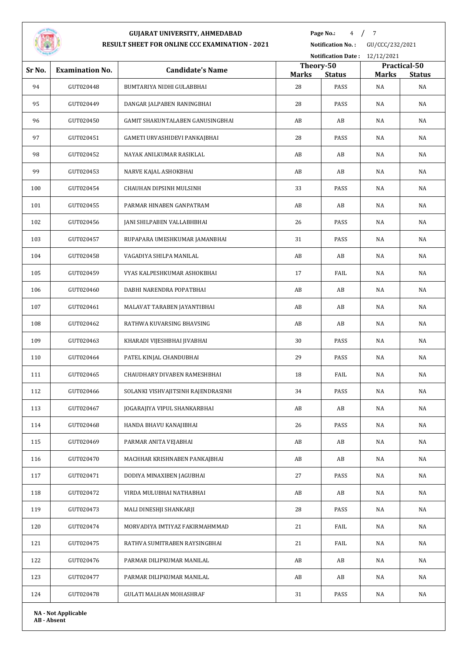

**Page No.:** 4 / 7

**Notification No. :** GU/CCC/232/2021 **Notification Date :** 12/12/2021

|                            |                        |                                    | Theory-50    |               | Practical-50 |               |
|----------------------------|------------------------|------------------------------------|--------------|---------------|--------------|---------------|
| Sr No.                     | <b>Examination No.</b> | <b>Candidate's Name</b>            | <b>Marks</b> | <b>Status</b> | <b>Marks</b> | <b>Status</b> |
| 94                         | GUT020448              | BUMTARIYA NIDHI GULABBHAI          | 28           | PASS          | NA           | NA            |
| 95                         | GUT020449              | DANGAR JALPABEN RANINGBHAI         | 28           | PASS          | NA           | NA            |
| 96                         | GUT020450              | GAMIT SHAKUNTALABEN GANUSINGBHAI   | AB           | AB            | NA           | NA            |
| 97                         | GUT020451              | GAMETI URVASHIDEVI PANKAJBHAI      | 28           | PASS          | NA           | NA            |
| 98                         | GUT020452              | NAYAK ANILKUMAR RASIKLAL           | AB           | AB            | NA           | NA            |
| 99                         | GUT020453              | NARVE KAJAL ASHOKBHAI              | AB           | AB            | NA           | NA            |
| 100                        | GUT020454              | CHAUHAN DIPSINH MULSINH            | 33           | PASS          | NA           | NA            |
| 101                        | GUT020455              | PARMAR HINABEN GANPATRAM           | AB           | AB            | NA           | NA            |
| 102                        | GUT020456              | JANI SHILPABEN VALLABHBHAI         | 26           | PASS          | NA           | NA            |
| 103                        | GUT020457              | RUPAPARA UMESHKUMAR JAMANBHAI      | 31           | PASS          | NA           | NA            |
| 104                        | GUT020458              | VAGADIYA SHILPA MANILAL            | AB           | AB            | NA           | NA            |
| 105                        | GUT020459              | VYAS KALPESHKUMAR ASHOKBHAI        | 17           | FAIL          | NA           | NA            |
| 106                        | GUT020460              | DABHI NARENDRA POPATBHAI           | AB           | AB            | NA           | NA            |
| 107                        | GUT020461              | MALAVAT TARABEN JAYANTIBHAI        | AB           | AB            | NA           | NA            |
| 108                        | GUT020462              | RATHWA KUVARSING BHAVSING          | AB           | AB            | NA           | NA            |
| 109                        | GUT020463              | KHARADI VIJESHBHAI JIVABHAI        | 30           | PASS          | NA           | NA            |
| 110                        | GUT020464              | PATEL KINJAL CHANDUBHAI            | 29           | PASS          | NA           | NA            |
| 111                        | GUT020465              | CHAUDHARY DIVABEN RAMESHBHAI       | 18           | FAIL          | NA           | NA            |
| 112                        | GUT020466              | SOLANKI VISHVAJITSINH RAJENDRASINH | 34           | PASS          | NA           | NA            |
| 113                        | GUT020467              | JOGARAJIYA VIPUL SHANKARBHAI       | AB           | AB            | NA           | NA            |
| 114                        | GUT020468              | HANDA BHAVU KANAJIBHAI             | 26           | PASS          | NA           | NA            |
| 115                        | GUT020469              | PARMAR ANITA VEJABHAI              | AB           | AB            | NA           | NA            |
| 116                        | GUT020470              | MACHHAR KRISHNABEN PANKAJBHAI      | AB           | AB            | NA           | NA            |
| 117                        | GUT020471              | DODIYA MINAXIBEN JAGUBHAI          | 27           | PASS          | NA           | NA            |
| 118                        | GUT020472              | VIRDA MULUBHAI NATHABHAI           | AB           | AB            | NA           | NA            |
| 119                        | GUT020473              | MALI DINESHJI SHANKARJI            | 28           | PASS          | NA           | NA            |
| 120                        | GUT020474              | MORVADIYA IMTIYAZ FAKIRMAHMMAD     | 21           | FAIL          | NA           | NA            |
| 121                        | GUT020475              | RATHVA SUMITRABEN RAYSINGBHAI      | 21           | FAIL          | NA           | NA            |
| 122                        | GUT020476              | PARMAR DILIPKUMAR MANILAL          | AB           | AB            | NA           | NA            |
| 123                        | GUT020477              | PARMAR DILIPKUMAR MANILAL          | AB           | AB            | NA           | NA            |
| 124                        | GUT020478              | GULATI MALHAN MOHASHRAF            | 31           | PASS          | NA           | NA            |
| <b>NA - Not Applicable</b> |                        |                                    |              |               |              |               |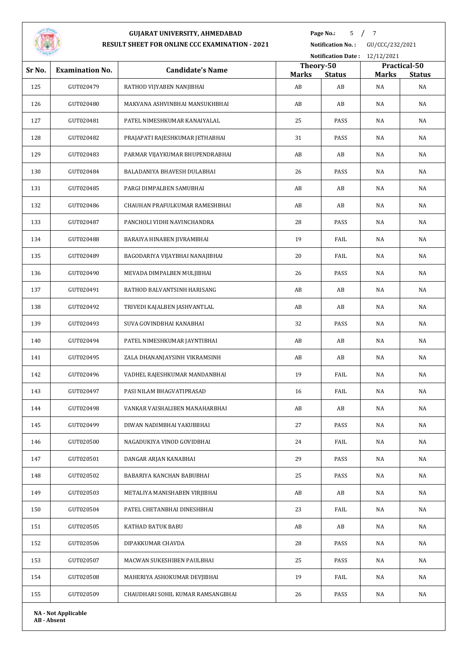

**Page No.:** 5 / 7

**Notification No. :** GU/CCC/232/2021

|        | Notification Date: 12/12/2021 |                                   |                    |                     |                    |                     |  |
|--------|-------------------------------|-----------------------------------|--------------------|---------------------|--------------------|---------------------|--|
| Sr No. | <b>Examination No.</b>        | <b>Candidate's Name</b>           |                    | Theory-50           |                    | Practical-50        |  |
| 125    | GUT020479                     | RATHOD VIJYABEN NANJIBHAI         | <b>Marks</b><br>AB | <b>Status</b><br>AB | <b>Marks</b><br>NA | <b>Status</b><br>NA |  |
| 126    | GUT020480                     | MAKVANA ASHVINBHAI MANSUKHBHAI    | AB                 | AB                  | NA                 | NA                  |  |
| 127    | GUT020481                     | PATEL NIMESHKUMAR KANAIYALAL      | 25                 | PASS                | NA                 | NA                  |  |
|        |                               |                                   |                    |                     |                    |                     |  |
| 128    | GUT020482                     | PRAJAPATI RAJESHKUMAR JETHABHAI   | 31                 | PASS                | NA                 | NA                  |  |
| 129    | GUT020483                     | PARMAR VIJAYKUMAR BHUPENDRABHAI   | AB                 | AB                  | NA                 | NA                  |  |
| 130    | GUT020484                     | BALADANIYA BHAVESH DULABHAI       | 26                 | PASS                | NA                 | NA                  |  |
| 131    | GUT020485                     | PARGI DIMPALBEN SAMUBHAI          | AB                 | AB                  | NA                 | NA                  |  |
| 132    | GUT020486                     | CHAUHAN PRAFULKUMAR RAMESHBHAI    | AB                 | AB                  | NA                 | NA                  |  |
| 133    | GUT020487                     | PANCHOLI VIDHI NAVINCHANDRA       | 28                 | PASS                | NA                 | NA                  |  |
| 134    | GUT020488                     | BARAIYA HINABEN JIVRAMBHAI        | 19                 | FAIL                | NA                 | NA                  |  |
| 135    | GUT020489                     | BAGODARIYA VIJAYBHAI NANAJIBHAI   | 20                 | FAIL                | NA                 | NA                  |  |
| 136    | GUT020490                     | MEVADA DIMPALBEN MULJIBHAI        | 26                 | PASS                | NA                 | NA                  |  |
| 137    | GUT020491                     | RATHOD BALVANTSINH HARISANG       | AB                 | AB                  | NA                 | NA                  |  |
| 138    | GUT020492                     | TRIVEDI KAJALBEN JASHVANTLAL      | AB                 | AB                  | NA                 | NA                  |  |
| 139    | GUT020493                     | SUVA GOVINDBHAI KANABHAI          | 32                 | PASS                | NA                 | NA                  |  |
| 140    | GUT020494                     | PATEL NIMESHKUMAR JAYNTIBHAI      | AB                 | AB                  | NA                 | NA                  |  |
| 141    | GUT020495                     | ZALA DHANANJAYSINH VIKRAMSINH     | AB                 | AB                  | NA                 | NA                  |  |
| 142    | GUT020496                     | VADHEL RAJESHKUMAR MANDANBHAI     | 19                 | FAIL                | NA                 | NA                  |  |
| 143    | GUT020497                     | PASI NILAM BHAGVATIPRASAD         | 16                 | FAIL                | NA                 | NA                  |  |
| 144    | GUT020498                     | VANKAR VAISHALIBEN MANAHARBHAI    | AB                 | AB                  | NA                 | NA                  |  |
| 145    | GUT020499                     | DIWAN NADIMBHAI YAKUBBHAI         | 27                 | PASS                | NA                 | NA                  |  |
| 146    | GUT020500                     | NAGADUKIYA VINOD GOVIDBHAI        | 24                 | FAIL                | NA                 | NA                  |  |
| 147    | GUT020501                     | DANGAR ARJAN KANABHAI             | 29                 | PASS                | NA                 | NA                  |  |
| 148    | GUT020502                     | BABARIYA KANCHAN BABUBHAI         | 25                 | PASS                | NA                 | NA                  |  |
| 149    | GUT020503                     | METALIYA MANISHABEN VIRJIBHAI     | AB                 | AB                  | NA                 | NA                  |  |
| 150    | GUT020504                     | PATEL CHETANBHAI DINESHBHAI       | 23                 | FAIL                | NA                 | NA                  |  |
| 151    | GUT020505                     | KATHAD BATUK BABU                 | AB                 | AB                  | NA                 | NA                  |  |
| 152    | GUT020506                     | DIPAKKUMAR CHAVDA                 | 28                 | PASS                | NA                 | NA                  |  |
| 153    | GUT020507                     | MACWAN SUKESHIBEN PAULBHAI        | 25                 | PASS                | NA                 | NA                  |  |
| 154    | GUT020508                     | MAHERIYA ASHOKUMAR DEVJIBHAI      | 19                 | FAIL                | NA                 | NA                  |  |
| 155    | GUT020509                     | CHAUDHARI SOHIL KUMAR RAMSANGBHAI | 26                 | PASS                | NA                 | NA                  |  |
|        |                               |                                   |                    |                     |                    |                     |  |

**NA - Not Applicable AB - Absent**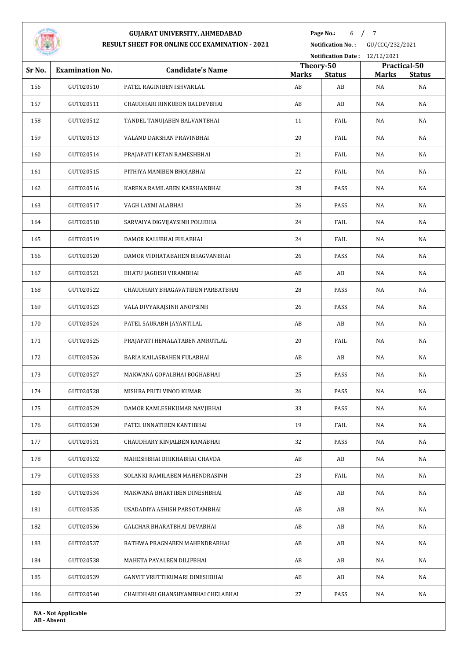

**Page No.:** 6 / 7

**Notification No. :** GU/CCC/232/2021

|        |                        | Notification Date: 12/12/2021     |              |                                            |    |                               |
|--------|------------------------|-----------------------------------|--------------|--------------------------------------------|----|-------------------------------|
| Sr No. | <b>Examination No.</b> | <b>Candidate's Name</b>           | <b>Marks</b> | Theory-50<br><b>Status</b><br><b>Marks</b> |    | Practical-50<br><b>Status</b> |
| 156    | GUT020510              | PATEL RAGINIBEN ISHVARLAL         | AB           | AB                                         | NA | NA                            |
| 157    | GUT020511              | CHAUDHARI RINKUBEN BALDEVBHAI     | AB           | AB                                         | NA | NA                            |
| 158    | GUT020512              | TANDEL TANUJABEN BALVANTBHAI      | 11           | FAIL                                       | NA | NA                            |
| 159    | GUT020513              | VALAND DARSHAN PRAVINBHAI         | 20           | FAIL                                       | NA | NA                            |
| 160    | GUT020514              | PRAJAPATI KETAN RAMESHBHAI        | 21           | FAIL                                       | NA | NA                            |
| 161    | GUT020515              | PITHIYA MANIBEN BHOJABHAI         | 22           | FAIL                                       | NA | NA                            |
| 162    | GUT020516              | KARENA RAMILABEN KARSHANBHAI      | 28           | PASS                                       | NA | NA                            |
| 163    | GUT020517              | VAGH LAXMI ALABHAI                | 26           | PASS                                       | NA | NA                            |
| 164    | GUT020518              | SARVAIYA DIGVIJAYSINH POLUBHA     | 24           | FAIL                                       | NA | NA                            |
| 165    | GUT020519              | DAMOR KALUBHAI FULABHAI           | 24           | FAIL                                       | NA | NA                            |
| 166    | GUT020520              | DAMOR VIDHATABAHEN BHAGVANBHAI    | 26           | PASS                                       | NA | NA                            |
| 167    | GUT020521              | BHATU JAGDISH VIRAMBHAI           | AB           | AB                                         | NA | NA                            |
| 168    | GUT020522              | CHAUDHARY BHAGAVATIBEN PARBATBHAI | 28           | PASS                                       | NA | NA                            |
| 169    | GUT020523              | VALA DIVYARAJSINH ANOPSINH        | 26           | PASS                                       | NA | NA                            |
| 170    | GUT020524              | PATEL SAURABH JAYANTILAL          | AB           | AB                                         | NA | NA                            |
| 171    | GUT020525              | PRAJAPATI HEMALATABEN AMRUTLAL    | 20           | FAIL                                       | NA | NA                            |
| 172    | GUT020526              | BARIA KAILASBAHEN FULABHAI        | AB           | AB                                         | NA | NA                            |
| 173    | GUT020527              | MAKWANA GOPALBHAI BOGHABHAI       | 25           | PASS                                       | NA | NA                            |
| 174    | GUT020528              | MISHRA PRITI VINOD KUMAR          | 26           | PASS                                       | NA | NA                            |
| 175    | GUT020529              | DAMOR KAMLESHKUMAR NAVJIBHAI      | 33           | PASS                                       | NA | NA                            |
| 176    | GUT020530              | PATEL UNNATIBEN KANTIBHAI         | 19           | FAIL                                       | NA | NA                            |
| 177    | GUT020531              | CHAUDHARY KINJALBEN RAMABHAI      | 32           | PASS                                       | NA | NA                            |
| 178    | GUT020532              | MAHESHBHAI BHIKHABHAI CHAVDA      | AB           | AB                                         | NA | NA                            |
| 179    | GUT020533              | SOLANKI RAMILABEN MAHENDRASINH    | 23           | FAIL                                       | NA | NA                            |
| 180    | GUT020534              | MAKWANA BHARTIBEN DINESHBHAI      | AB           | AB                                         | NA | NA                            |
| 181    | GUT020535              | USADADIYA ASHISH PARSOTAMBHAI     | AB           | AB                                         | NA | NA                            |
| 182    | GUT020536              | GALCHAR BHARATBHAI DEVABHAI       | AB           | AB                                         | NA | NA                            |
| 183    | GUT020537              | RATHWA PRAGNABEN MAHENDRABHAI     | AB           | AB                                         | NA | NA                            |
| 184    | GUT020538              | MAHETA PAYALBEN DILIPBHAI         | AB           | AB                                         | NA | NA                            |
| 185    | GUT020539              | GANVIT VRUTTIKUMARI DINESHBHAI    | AB           | AB                                         | NA | NA                            |
| 186    | GUT020540              | CHAUDHARI GHANSHYAMBHAI CHELABHAI | 27           | PASS                                       | NA | NA                            |
|        |                        |                                   |              |                                            |    |                               |